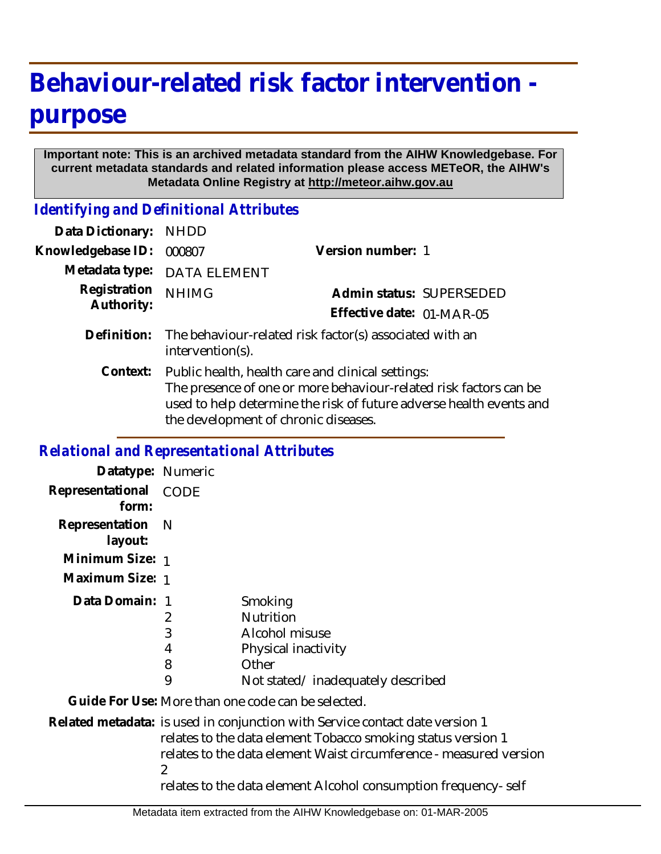## **Behaviour-related risk factor intervention purpose**

## **Important note: This is an archived metadata standard from the AIHW Knowledgebase. For current metadata standards and related information please access METeOR, the AIHW's Metadata Online Registry at http://meteor.aihw.gov.au**

*Identifying and Definitional Attributes*

| Data Dictionary:           | <b>NHDD</b>                                                                                                                                                                                                                           |                           |  |
|----------------------------|---------------------------------------------------------------------------------------------------------------------------------------------------------------------------------------------------------------------------------------|---------------------------|--|
| Knowledgebase ID:          | 000807                                                                                                                                                                                                                                | Version number: 1         |  |
| Metadata type:             | <b>DATA ELEMENT</b>                                                                                                                                                                                                                   |                           |  |
| Registration<br>Authority: | <b>NHIMG</b>                                                                                                                                                                                                                          | Admin status: SUPERSEDED  |  |
|                            |                                                                                                                                                                                                                                       | Effective date: 01-MAR-05 |  |
| Definition:                | The behaviour-related risk factor(s) associated with an<br>intervention(s).                                                                                                                                                           |                           |  |
| Context:                   | Public health, health care and clinical settings:<br>The presence of one or more behaviour-related risk factors can be<br>used to help determine the risk of future adverse health events and<br>the development of chronic diseases. |                           |  |

## *Relational and Representational Attributes*

| Datatype: Numeric         |                       |                                                                                                                                                                                                                                                                                      |
|---------------------------|-----------------------|--------------------------------------------------------------------------------------------------------------------------------------------------------------------------------------------------------------------------------------------------------------------------------------|
| Representational<br>form: | <b>CODE</b>           |                                                                                                                                                                                                                                                                                      |
| Representation<br>layout: | - N                   |                                                                                                                                                                                                                                                                                      |
| Minimum Size: 1           |                       |                                                                                                                                                                                                                                                                                      |
| Maximum Size: 1           |                       |                                                                                                                                                                                                                                                                                      |
| Data Domain: 1            | 2<br>3<br>4<br>8<br>9 | Smoking<br><b>Nutrition</b><br>Alcohol misuse<br>Physical inactivity<br>Other<br>Not stated/inadequately described                                                                                                                                                                   |
|                           |                       | Guide For Use: More than one code can be selected.                                                                                                                                                                                                                                   |
|                           | 2                     | Related metadata: is used in conjunction with Service contact date version 1<br>relates to the data element Tobacco smoking status version 1<br>relates to the data element Waist circumference - measured version<br>relates to the data element Alcohol consumption frequency-self |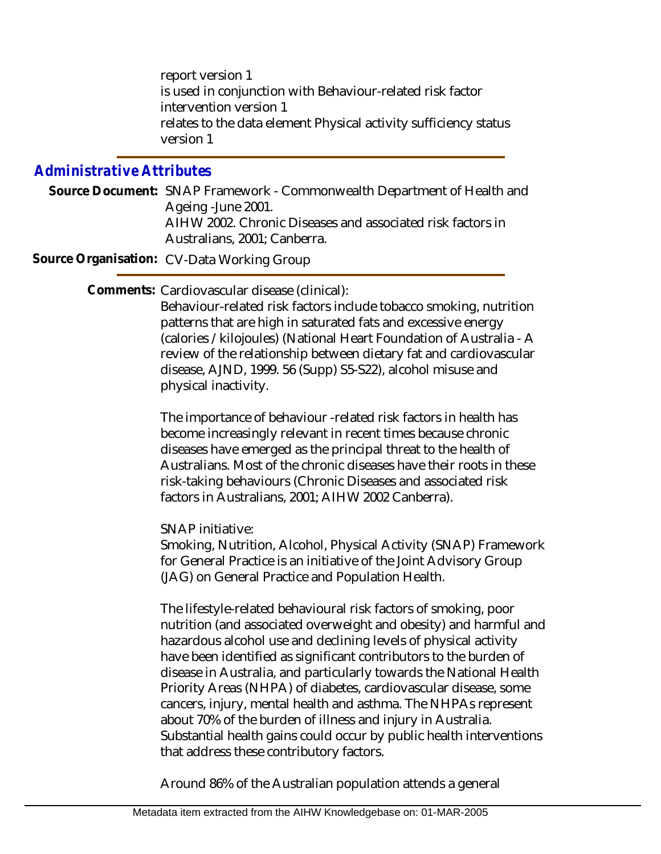report version 1 is used in conjunction with Behaviour-related risk factor intervention version 1 relates to the data element Physical activity sufficiency status version 1

## *Administrative Attributes*

Source Document: SNAP Framework - Commonwealth Department of Health and Ageing -June 2001. AIHW 2002. Chronic Diseases and associated risk factors in Australians, 2001; Canberra.

**Source Organisation:** CV-Data Working Group

Comments: Cardiovascular disease (clinical):

Behaviour-related risk factors include tobacco smoking, nutrition patterns that are high in saturated fats and excessive energy (calories /kilojoules) (National Heart Foundation of Australia - A review of the relationship between dietary fat and cardiovascular disease, AJND, 1999. 56 (Supp) S5-S22), alcohol misuse and physical inactivity.

The importance of behaviour -related risk factors in health has become increasingly relevant in recent times because chronic diseases have emerged as the principal threat to the health of Australians. Most of the chronic diseases have their roots in these risk-taking behaviours (Chronic Diseases and associated risk factors in Australians, 2001; AIHW 2002 Canberra).

SNAP initiative:

Smoking, Nutrition, Alcohol, Physical Activity (SNAP) Framework for General Practice is an initiative of the Joint Advisory Group (JAG) on General Practice and Population Health.

The lifestyle-related behavioural risk factors of smoking, poor nutrition (and associated overweight and obesity) and harmful and hazardous alcohol use and declining levels of physical activity have been identified as significant contributors to the burden of disease in Australia, and particularly towards the National Health Priority Areas (NHPA) of diabetes, cardiovascular disease, some cancers, injury, mental health and asthma. The NHPAs represent about 70% of the burden of illness and injury in Australia. Substantial health gains could occur by public health interventions that address these contributory factors.

Around 86% of the Australian population attends a general